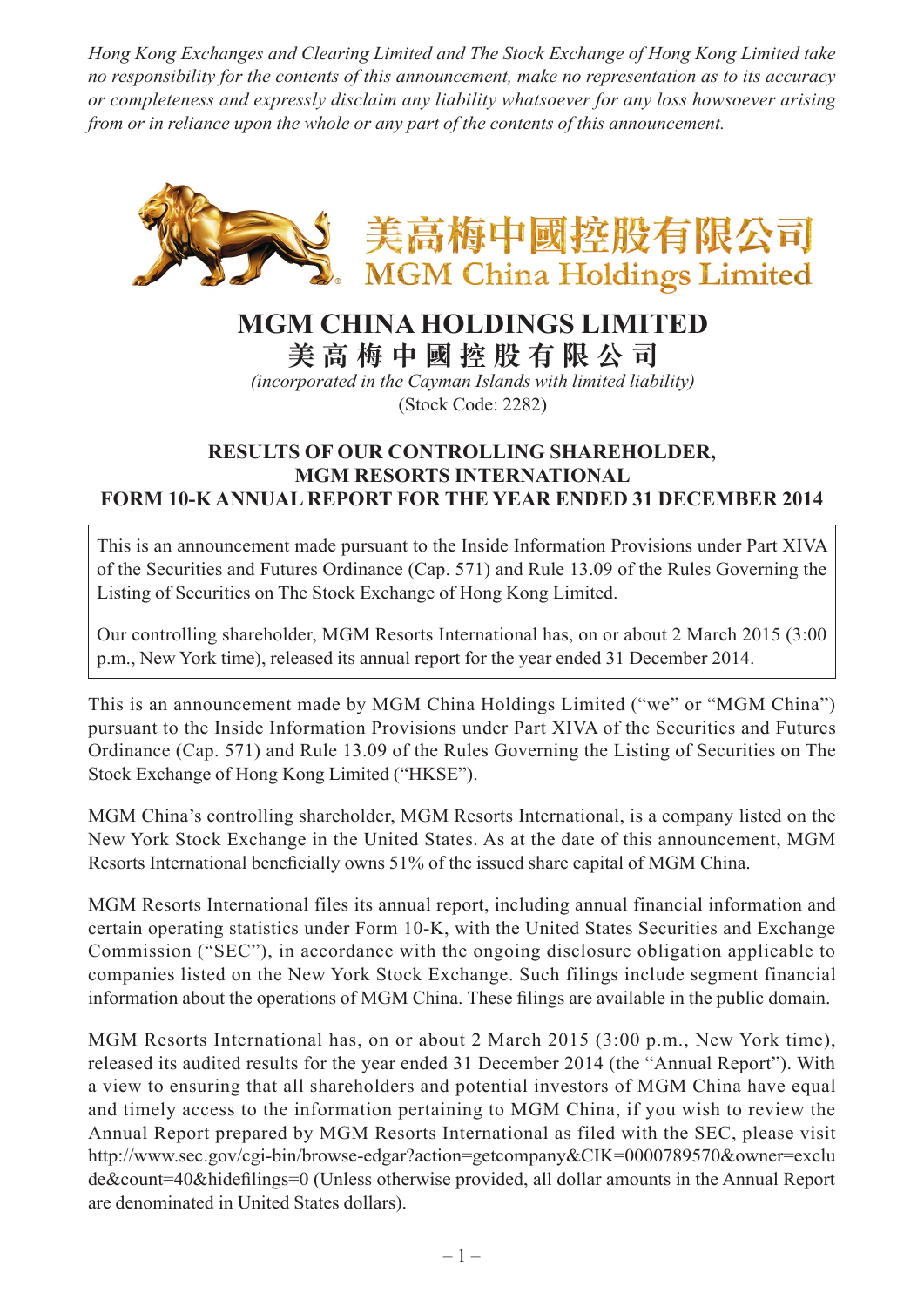*Hong Kong Exchanges and Clearing Limited and The Stock Exchange of Hong Kong Limited take no responsibility for the contents of this announcement, make no representation as to its accuracy or completeness and expressly disclaim any liability whatsoever for any loss howsoever arising from or in reliance upon the whole or any part of the contents of this announcement.*



## **MGM CHINA HOLDINGS LIMITED**

**美 高 梅 中 國 控 股 有 限 公 司**

*(incorporated in the Cayman Islands with limited liability)* (Stock Code: 2282)

## **RESULTS OF OUR CONTROLLING SHAREHOLDER, MGM RESORTS INTERNATIONAL FORM 10-K ANNUAL REPORT FOR THE YEAR ENDED 31 DECEMBER 2014**

This is an announcement made pursuant to the Inside Information Provisions under Part XIVA of the Securities and Futures Ordinance (Cap. 571) and Rule 13.09 of the Rules Governing the Listing of Securities on The Stock Exchange of Hong Kong Limited.

Our controlling shareholder, MGM Resorts International has, on or about 2 March 2015 (3:00 p.m., New York time), released its annual report for the year ended 31 December 2014.

This is an announcement made by MGM China Holdings Limited ("we" or "MGM China") pursuant to the Inside Information Provisions under Part XIVA of the Securities and Futures Ordinance (Cap. 571) and Rule 13.09 of the Rules Governing the Listing of Securities on The Stock Exchange of Hong Kong Limited ("HKSE").

MGM China's controlling shareholder, MGM Resorts International, is a company listed on the New York Stock Exchange in the United States. As at the date of this announcement, MGM Resorts International beneficially owns 51% of the issued share capital of MGM China.

MGM Resorts International files its annual report, including annual financial information and certain operating statistics under Form 10-K, with the United States Securities and Exchange Commission ("SEC"), in accordance with the ongoing disclosure obligation applicable to companies listed on the New York Stock Exchange. Such filings include segment financial information about the operations of MGM China. These filings are available in the public domain.

MGM Resorts International has, on or about 2 March 2015 (3:00 p.m., New York time), released its audited results for the year ended 31 December 2014 (the "Annual Report"). With a view to ensuring that all shareholders and potential investors of MGM China have equal and timely access to the information pertaining to MGM China, if you wish to review the Annual Report prepared by MGM Resorts International as filed with the SEC, please visit http://www.sec.gov/cgi-bin/browse-edgar?action=getcompany&CIK=0000789570&owner=exclu de&count=40&hidefilings=0 (Unless otherwise provided, all dollar amounts in the Annual Report are denominated in United States dollars).